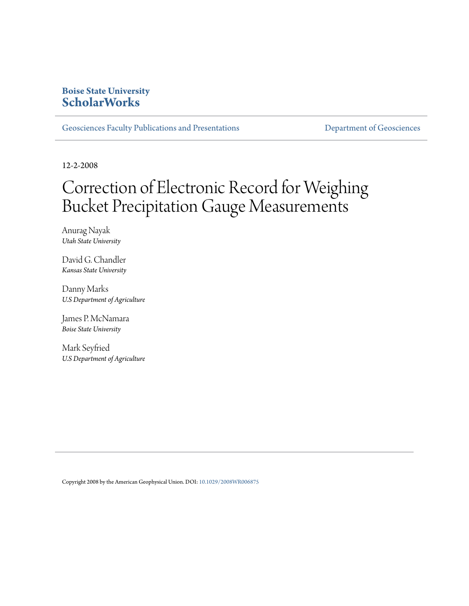## **Boise State University [ScholarWorks](https://scholarworks.boisestate.edu)**

[Geosciences Faculty Publications and Presentations](https://scholarworks.boisestate.edu/geo_facpubs) **Exercise Secure 2018** [Department of Geosciences](https://scholarworks.boisestate.edu/geosciences)

12-2-2008

# Correction of Electronic Record for Weighing Bucket Precipitation Gauge Measurements

Anurag Nayak *Utah State University*

David G. Chandler *Kansas State University*

Danny Marks *U.S Department of Agriculture*

James P. McNamara *Boise State University*

Mark Seyfried *U.S Department of Agriculture*

Copyright 2008 by the American Geophysical Union. DOI: [10.1029/2008WR006875](http://dx.doi.org/10.1029/2008WR006875)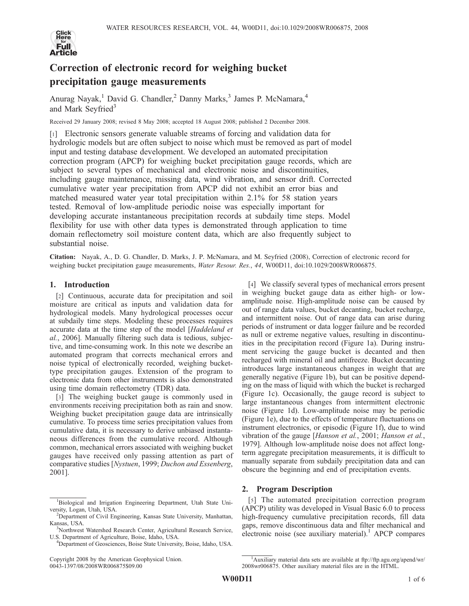

# Correction of electronic record for weighing bucket precipitation gauge measurements

Anurag Nayak,<sup>1</sup> David G. Chandler,<sup>2</sup> Danny Marks,<sup>3</sup> James P. McNamara,<sup>4</sup> and Mark Seyfried<sup>3</sup>

Received 29 January 2008; revised 8 May 2008; accepted 18 August 2008; published 2 December 2008.

[1] Electronic sensors generate valuable streams of forcing and validation data for hydrologic models but are often subject to noise which must be removed as part of model input and testing database development. We developed an automated precipitation correction program (APCP) for weighing bucket precipitation gauge records, which are subject to several types of mechanical and electronic noise and discontinuities, including gauge maintenance, missing data, wind vibration, and sensor drift. Corrected cumulative water year precipitation from APCP did not exhibit an error bias and matched measured water year total precipitation within 2.1% for 58 station years tested. Removal of low-amplitude periodic noise was especially important for developing accurate instantaneous precipitation records at subdaily time steps. Model flexibility for use with other data types is demonstrated through application to time domain reflectometry soil moisture content data, which are also frequently subject to substantial noise.

Citation: Nayak, A., D. G. Chandler, D. Marks, J. P. McNamara, and M. Seyfried (2008), Correction of electronic record for weighing bucket precipitation gauge measurements, Water Resour. Res., 44, W00D11, doi:10.1029/2008WR006875.

### 1. Introduction

[2] Continuous, accurate data for precipitation and soil moisture are critical as inputs and validation data for hydrological models. Many hydrological processes occur at subdaily time steps. Modeling these processes requires accurate data at the time step of the model [Haddeland et al., 2006]. Manually filtering such data is tedious, subjective, and time-consuming work. In this note we describe an automated program that corrects mechanical errors and noise typical of electronically recorded, weighing buckettype precipitation gauges. Extension of the program to electronic data from other instruments is also demonstrated using time domain reflectometry (TDR) data.

[3] The weighing bucket gauge is commonly used in environments receiving precipitation both as rain and snow. Weighing bucket precipitation gauge data are intrinsically cumulative. To process time series precipitation values from cumulative data, it is necessary to derive unbiased instantaneous differences from the cumulative record. Although common, mechanical errors associated with weighing bucket gauges have received only passing attention as part of comparative studies [Nystuen, 1999; Duchon and Essenberg, 2001].

Copyright 2008 by the American Geophysical Union. 0043-1397/08/2008WR006875\$09.00

[4] We classify several types of mechanical errors present in weighing bucket gauge data as either high- or lowamplitude noise. High-amplitude noise can be caused by out of range data values, bucket decanting, bucket recharge, and intermittent noise. Out of range data can arise during periods of instrument or data logger failure and be recorded as null or extreme negative values, resulting in discontinuities in the precipitation record (Figure 1a). During instrument servicing the gauge bucket is decanted and then recharged with mineral oil and antifreeze. Bucket decanting introduces large instantaneous changes in weight that are generally negative (Figure 1b), but can be positive depending on the mass of liquid with which the bucket is recharged (Figure 1c). Occasionally, the gauge record is subject to large instantaneous changes from intermittent electronic noise (Figure 1d). Low-amplitude noise may be periodic (Figure 1e), due to the effects of temperature fluctuations on instrument electronics, or episodic (Figure 1f), due to wind vibration of the gauge [Hanson et al., 2001; Hanson et al., 1979]. Although low-amplitude noise does not affect longterm aggregate precipitation measurements, it is difficult to manually separate from subdaily precipitation data and can obscure the beginning and end of precipitation events.

#### 2. Program Description

[5] The automated precipitation correction program (APCP) utility was developed in Visual Basic 6.0 to process high-frequency cumulative precipitation records, fill data gaps, remove discontinuous data and filter mechanical and electronic noise (see auxiliary material).<sup>1</sup> APCP compares

<sup>&</sup>lt;sup>1</sup>Biological and Irrigation Engineering Department, Utah State University, Logan, Utah, USA. <sup>2</sup>

<sup>&</sup>lt;sup>2</sup>Department of Civil Engineering, Kansas State University, Manhattan, Kansas, USA. <sup>3</sup>

<sup>&</sup>lt;sup>3</sup>Northwest Watershed Research Center, Agricultural Research Service, U.S. Department of Agriculture, Boise, Idaho, USA. <sup>4</sup>

Department of Geosciences, Boise State University, Boise, Idaho, USA.

<sup>&</sup>lt;sup>1</sup>Auxiliary material data sets are available at ftp://ftp.agu.org/apend/wr/ 2008wr006875. Other auxiliary material files are in the HTML.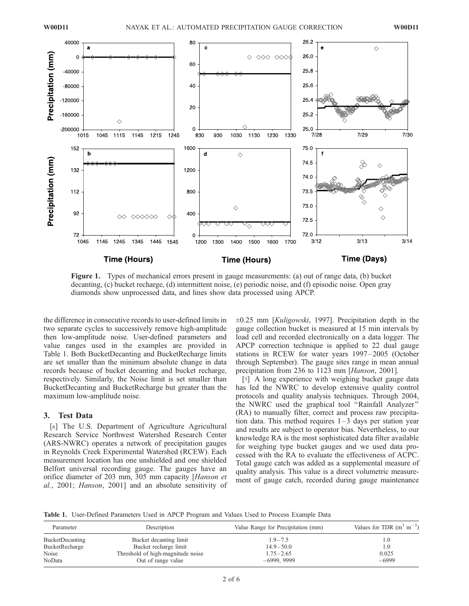

Figure 1. Types of mechanical errors present in gauge measurements: (a) out of range data, (b) bucket decanting, (c) bucket recharge, (d) intermittent noise, (e) periodic noise, and (f) episodic noise. Open gray diamonds show unprocessed data, and lines show data processed using APCP.

the difference in consecutive records to user-defined limits in two separate cycles to successively remove high-amplitude then low-amplitude noise. User-defined parameters and value ranges used in the examples are provided in Table 1. Both BucketDecanting and BucketRecharge limits are set smaller than the minimum absolute change in data records because of bucket decanting and bucket recharge, respectively. Similarly, the Noise limit is set smaller than BucketDecanting and BucketRecharge but greater than the maximum low-amplitude noise.

## 3. Test Data

[6] The U.S. Department of Agriculture Agricultural Research Service Northwest Watershed Research Center (ARS-NWRC) operates a network of precipitation gauges in Reynolds Creek Experimental Watershed (RCEW). Each measurement location has one unshielded and one shielded Belfort universal recording gauge. The gauges have an orifice diameter of 203 mm, 305 mm capacity [Hanson et al., 2001; Hanson, 2001] and an absolute sensitivity of  $\pm 0.25$  mm [Kuligowski, 1997]. Precipitation depth in the gauge collection bucket is measured at 15 min intervals by load cell and recorded electronically on a data logger. The APCP correction technique is applied to 22 dual gauge stations in RCEW for water years 1997– 2005 (October through September). The gauge sites range in mean annual precipitation from 236 to 1123 mm [Hanson, 2001].

[7] A long experience with weighing bucket gauge data has led the NWRC to develop extensive quality control protocols and quality analysis techniques. Through 2004, the NWRC used the graphical tool ''Rainfall Analyzer'' (RA) to manually filter, correct and process raw precipitation data. This method requires  $1-3$  days per station year and results are subject to operator bias. Nevertheless, to our knowledge RA is the most sophisticated data filter available for weighing type bucket gauges and we used data processed with the RA to evaluate the effectiveness of ACPC. Total gauge catch was added as a supplemental measure of quality analysis. This value is a direct volumetric measurement of gauge catch, recorded during gauge maintenance

Table 1. User-Defined Parameters Used in APCP Program and Values Used to Process Example Data

| Parameter              | Description                       | Value Range for Precipitation (mm) | Values for TDR $(m^3 m^{-3})$ |  |
|------------------------|-----------------------------------|------------------------------------|-------------------------------|--|
| <b>BucketDecanting</b> | Bucket decanting limit            | $1.9 - 7.5$                        | 1.0                           |  |
| BucketRecharge         | Bucket recharge limit             | $14.9 - 50.0$                      | 1.0                           |  |
| Noise                  | Threshold of high-magnitude noise | $1.75 - 2.65$                      | 0.025                         |  |
| NoData                 | Out of range value                | $-6999, 9999$                      | $-6999$                       |  |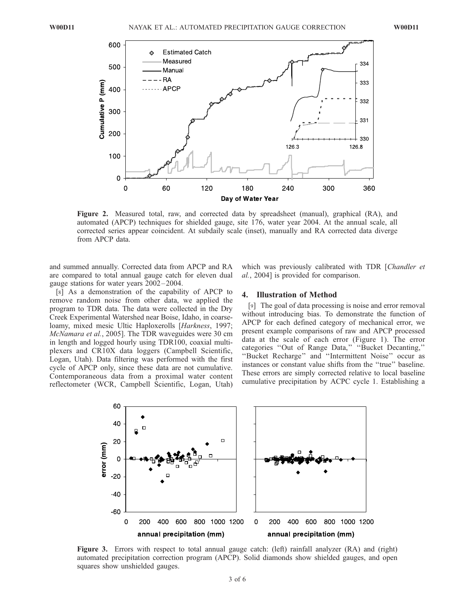

Figure 2. Measured total, raw, and corrected data by spreadsheet (manual), graphical (RA), and automated (APCP) techniques for shielded gauge, site 176, water year 2004. At the annual scale, all corrected series appear coincident. At subdaily scale (inset), manually and RA corrected data diverge from APCP data.

and summed annually. Corrected data from APCP and RA are compared to total annual gauge catch for eleven dual gauge stations for water years 2002 – 2004.

[8] As a demonstration of the capability of APCP to remove random noise from other data, we applied the program to TDR data. The data were collected in the Dry Creek Experimental Watershed near Boise, Idaho, in coarseloamy, mixed mesic Ultic Haploxerolls [Harkness, 1997; McNamara et al., 2005]. The TDR waveguides were 30 cm in length and logged hourly using TDR100, coaxial multiplexers and CR10X data loggers (Campbell Scientific, Logan, Utah). Data filtering was performed with the first cycle of APCP only, since these data are not cumulative. Contemporaneous data from a proximal water content reflectometer (WCR, Campbell Scientific, Logan, Utah) which was previously calibrated with TDR [Chandler et al., 2004] is provided for comparison.

#### 4. Illustration of Method

[9] The goal of data processing is noise and error removal without introducing bias. To demonstrate the function of APCP for each defined category of mechanical error, we present example comparisons of raw and APCP processed data at the scale of each error (Figure 1). The error categories ''Out of Range Data,'' ''Bucket Decanting,'' ''Bucket Recharge'' and ''Intermittent Noise'' occur as instances or constant value shifts from the ''true'' baseline. These errors are simply corrected relative to local baseline cumulative precipitation by ACPC cycle 1. Establishing a



Figure 3. Errors with respect to total annual gauge catch: (left) rainfall analyzer (RA) and (right) automated precipitation correction program (APCP). Solid diamonds show shielded gauges, and open squares show unshielded gauges.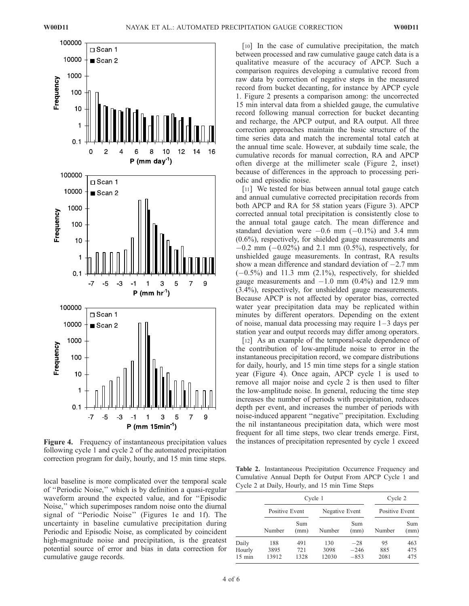

following cycle 1 and cycle 2 of the automated precipitation correction program for daily, hourly, and 15 min time steps.

local baseline is more complicated over the temporal scale of ''Periodic Noise,'' which is by definition a quasi-regular waveform around the expected value, and for ''Episodic Noise,'' which superimposes random noise onto the diurnal signal of ''Periodic Noise'' (Figures 1e and 1f). The uncertainty in baseline cumulative precipitation during Periodic and Episodic Noise, as complicated by coincident high-magnitude noise and precipitation, is the greatest potential source of error and bias in data correction for cumulative gauge records.

[10] In the case of cumulative precipitation, the match between processed and raw cumulative gauge catch data is a qualitative measure of the accuracy of APCP. Such a comparison requires developing a cumulative record from raw data by correction of negative steps in the measured record from bucket decanting, for instance by APCP cycle 1. Figure 2 presents a comparison among: the uncorrected 15 min interval data from a shielded gauge, the cumulative record following manual correction for bucket decanting and recharge, the APCP output, and RA output. All three correction approaches maintain the basic structure of the time series data and match the incremental total catch at the annual time scale. However, at subdaily time scale, the cumulative records for manual correction, RA and APCP often diverge at the millimeter scale (Figure 2, inset) because of differences in the approach to processing periodic and episodic noise.

[11] We tested for bias between annual total gauge catch and annual cumulative corrected precipitation records from both APCP and RA for 58 station years (Figure 3). APCP corrected annual total precipitation is consistently close to the annual total gauge catch. The mean difference and standard deviation were  $-0.6$  mm  $(-0.1\%)$  and 3.4 mm (0.6%), respectively, for shielded gauge measurements and  $-0.2$  mm  $(-0.02\%)$  and 2.1 mm  $(0.5\%)$ , respectively, for unshielded gauge measurements. In contrast, RA results show a mean difference and standard deviation of  $-2.7$  mm  $(-0.5\%)$  and 11.3 mm  $(2.1\%)$ , respectively, for shielded gauge measurements and  $-1.0$  mm (0.4%) and 12.9 mm (3.4%), respectively, for unshielded gauge measurements. Because APCP is not affected by operator bias, corrected water year precipitation data may be replicated within minutes by different operators. Depending on the extent of noise, manual data processing may require  $1-3$  days per station year and output records may differ among operators.

[12] As an example of the temporal-scale dependence of the contribution of low-amplitude noise to error in the instantaneous precipitation record, we compare distributions for daily, hourly, and 15 min time steps for a single station year (Figure 4). Once again, APCP cycle 1 is used to remove all major noise and cycle 2 is then used to filter the low-amplitude noise. In general, reducing the time step increases the number of periods with precipitation, reduces depth per event, and increases the number of periods with noise-induced apparent ''negative'' precipitation. Excluding the nil instantaneous precipitation data, which were most frequent for all time steps, two clear trends emerge. First, Figure 4. Frequency of instantaneous precipitation values the instances of precipitation represented by cycle 1 exceed

Table 2. Instantaneous Precipitation Occurrence Frequency and Cumulative Annual Depth for Output From APCP Cycle 1 and Cycle 2 at Daily, Hourly, and 15 min Time Steps

|                                     |                      | Cycle 1            |                      |                           |                   | Cycle 2           |  |
|-------------------------------------|----------------------|--------------------|----------------------|---------------------------|-------------------|-------------------|--|
|                                     | Positive Event       |                    | Negative Event       |                           | Positive Event    |                   |  |
|                                     | Number               | Sum<br>(mm)        | Number               | Sum<br>(mm)               | Number            | Sum<br>(mm)       |  |
| Daily<br>Hourly<br>$15 \text{ min}$ | 188<br>3895<br>13912 | 491<br>721<br>1328 | 130<br>3098<br>12030 | $-28$<br>$-246$<br>$-853$ | 95<br>885<br>2081 | 463<br>475<br>475 |  |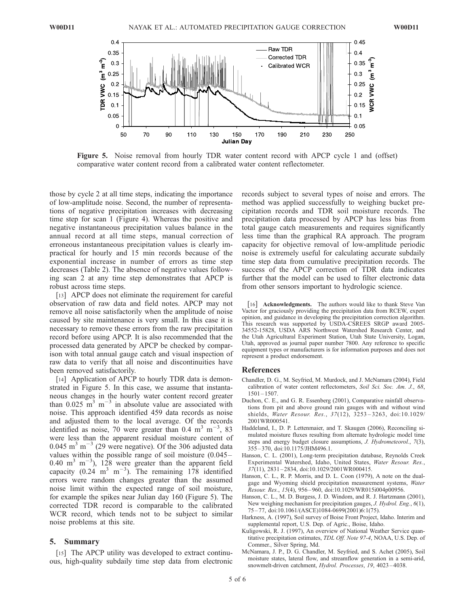

Figure 5. Noise removal from hourly TDR water content record with APCP cycle 1 and (offset) comparative water content record from a calibrated water content reflectometer.

those by cycle 2 at all time steps, indicating the importance of low-amplitude noise. Second, the number of representations of negative precipitation increases with decreasing time step for scan 1 (Figure 4). Whereas the positive and negative instantaneous precipitation values balance in the annual record at all time steps, manual correction of erroneous instantaneous precipitation values is clearly impractical for hourly and 15 min records because of the exponential increase in number of errors as time step decreases (Table 2). The absence of negative values following scan 2 at any time step demonstrates that APCP is robust across time steps.

[13] APCP does not eliminate the requirement for careful observation of raw data and field notes. APCP may not remove all noise satisfactorily when the amplitude of noise caused by site maintenance is very small. In this case it is necessary to remove these errors from the raw precipitation record before using APCP. It is also recommended that the processed data generated by APCP be checked by comparison with total annual gauge catch and visual inspection of raw data to verify that all noise and discontinuities have been removed satisfactorily.

[14] Application of APCP to hourly TDR data is demonstrated in Figure 5. In this case, we assume that instantaneous changes in the hourly water content record greater than  $0.025 \text{ m}^3 \text{ m}^{-3}$  in absolute value are associated with noise. This approach identified 459 data records as noise and adjusted them to the local average. Of the records identified as noise, 70 were greater than 0.4 m<sup>3</sup> m<sup>-3</sup>, 83 were less than the apparent residual moisture content of  $0.045$  m<sup>3</sup> m<sup>-3</sup> (29 were negative). Of the 306 adjusted data values within the possible range of soil moisture (0.045 – 0.40 m<sup>3</sup> m<sup>-3</sup>), 128 were greater than the apparent field capacity (0.24 m<sup>3</sup> m<sup>-3</sup>). The remaining 178 identified errors were random changes greater than the assumed noise limit within the expected range of soil moisture, for example the spikes near Julian day 160 (Figure 5). The corrected TDR record is comparable to the calibrated WCR record, which tends not to be subject to similar noise problems at this site.

#### 5. Summary

[15] The APCP utility was developed to extract continuous, high-quality subdaily time step data from electronic

records subject to several types of noise and errors. The method was applied successfully to weighing bucket precipitation records and TDR soil moisture records. The precipitation data processed by APCP has less bias from total gauge catch measurements and requires significantly less time than the graphical RA approach. The program capacity for objective removal of low-amplitude periodic noise is extremely useful for calculating accurate subdaily time step data from cumulative precipitation records. The success of the APCP correction of TDR data indicates further that the model can be used to filter electronic data from other sensors important to hydrologic science.

[16] **Acknowledgments.** The authors would like to thank Steve Van Vactor for graciously providing the precipitation data from RCEW, expert opinion, and guidance in developing the precipitation correction algorithm. This research was supported by USDA-CSREES SRGP award 2005- 34552-15828, USDA ARS Northwest Watershed Research Center, and the Utah Agricultural Experiment Station, Utah State University, Logan, Utah, approved as journal paper number 7800. Any reference to specific equipment types or manufacturers is for information purposes and does not represent a product endorsement.

#### References

- Chandler, D. G., M. Seyfried, M. Murdock, and J. McNamara (2004), Field calibration of water content reflectometers, Soil Sci. Soc. Am. J., 68,  $1501 - 1507$ .
- Duchon, C. E., and G. R. Essenberg (2001), Comparative rainfall observations from pit and above ground rain gauges with and without wind shields, Water Resour. Res., 37(12), 3253 – 3263, doi:10.1029/ 2001WR000541.
- Haddeland, I., D. P. Lettenmaier, and T. Skaugen (2006), Reconciling simulated moisture fluxes resulting from alternate hydrologic model time steps and energy budget closure assumptions, J. Hydrometeorol., 7(3), 355 – 370, doi:10.1175/JHM496.1.
- Hanson, C. L. (2001), Long-term precipitation database, Reynolds Creek Experimental Watershed, Idaho, United States, Water Resour. Res., 37(11), 2831 – 2834, doi:10.1029/2001WR000415.
- Hanson, C. L., R. P. Morris, and D. L. Coon (1979), A note on the dualgage and Wyoming shield precipitation measurement systems, Water Resour. Res., 15(4), 956 – 960, doi:10.1029/WR015i004p00956.
- Hanson, C. L., M. D. Burgess, J. D. Windom, and R. J. Hartzmann (2001), New weighing mechanism for precipitation gauges, *J. Hydrol. Eng.*, 6(1), 75 – 77, doi:10.1061/(ASCE)1084-0699(2001)6:1(75).
- Harkness, A. (1997), Soil survey of Boise Front Project, Idaho. Interim and supplemental report, U.S. Dep. of Agric., Boise, Idaho.
- Kuligowski, R. J. (1997), An overview of National Weather Service quantitative precipitation estimates, TDL Off. Note 97-4, NOAA, U.S. Dep. of Commer., Silver Spring, Md.
- McNamara, J. P., D. G. Chandler, M. Seyfried, and S. Achet (2005), Soil moisture states, lateral flow, and streamflow generation in a semi-arid, snowmelt-driven catchment, Hydrol. Processes, 19, 4023-4038.